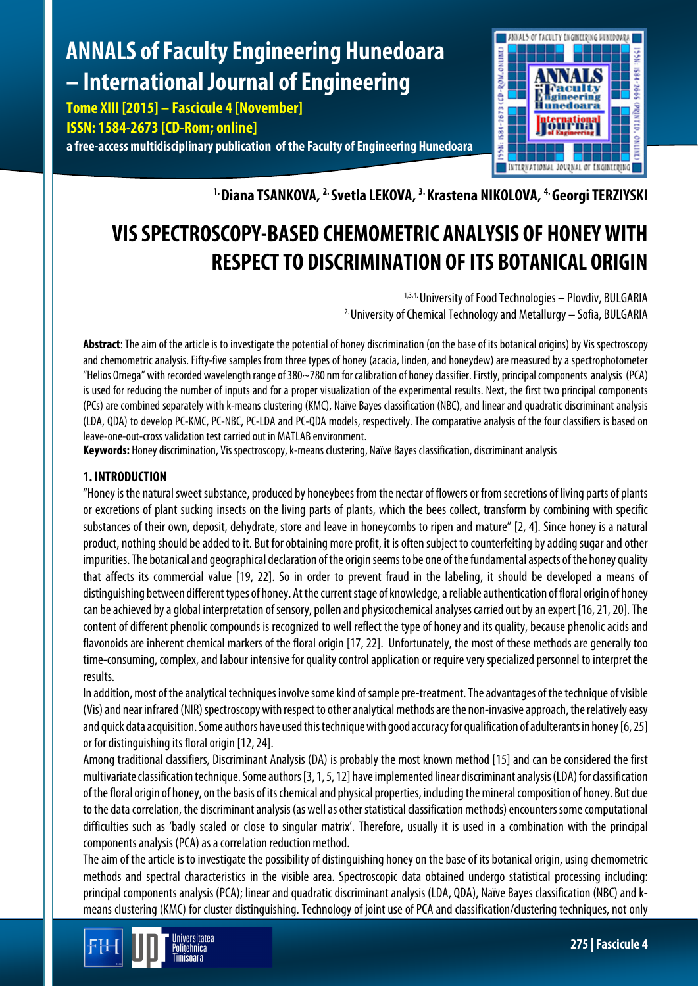# **ANNALS of Faculty Engineering Hunedoara – International Journal of Engineering**

**Tome XIII [2015] – Fascicule 4 [November] ISSN: 1584-2673 [CD-Rom; online] a free-access multidisciplinary publication of the Faculty of Engineering Hunedoara**



**1. Diana TSANKOVA, 2. Svetla LEKOVA, 3. Krastena NIKOLOVA, 4. Georgi TERZIYSKI**

## **VIS SPECTROSCOPY-BASED CHEMOMETRIC ANALYSIS OF HONEY WITH RESPECT TO DISCRIMINATION OF ITS BOTANICAL ORIGIN**

1,3,4. University of Food Technologies - Plovdiv, BULGARIA 2. University of Chemical Technology and Metallurgy – Sofia, BULGARIA

**Abstract**:The aim of the article is to investigate the potential of honey discrimination (on the base of its botanical origins) by Vis spectroscopy and chemometric analysis. Fifty-five samples from three types of honey (acacia, linden, and honeydew) are measured by a spectrophotometer "Helios Omega" with recorded wavelength range of 380~780 nm for calibration of honey classifier. Firstly, principal components analysis (PCA) is used for reducing the number of inputs and for a proper visualization of the experimental results. Next, the first two principal components (PCs) are combined separately with k-means clustering (KMC), Naïve Bayes classification (NBC), and linear and quadratic discriminant analysis (LDA, QDA) to develop PC-KMC, PC-NBC, PC-LDA and PC-QDA models, respectively. The comparative analysis of the four classifiers is based on leave-one-out-cross validation test carried out in MATLAB environment.

**Keywords:** Honey discrimination, Vis spectroscopy, k-means clustering, Naïve Bayes classification, discriminant analysis

## **1. INTRODUCTION**

"Honey is the natural sweet substance, produced by honeybees from the nectar of flowers or from secretions of living parts of plants or excretions of plant sucking insects on the living parts of plants, which the bees collect, transform by combining with specific substances of their own, deposit, dehydrate, store and leave in honeycombs to ripen and mature" [2, 4]. Since honey is a natural product, nothing should be added to it. But for obtaining more profit, it is often subject to counterfeiting by adding sugar and other impurities. The botanical and geographical declaration of the origin seems to be one of the fundamental aspects of the honey quality that affects its commercial value [19, 22]. So in order to prevent fraud in the labeling, it should be developed a means of distinguishing between different types of honey. At the current stage of knowledge, a reliable authentication of floral origin of honey can be achieved by a global interpretation of sensory, pollen and physicochemical analyses carried out by an expert [16,21,20]. The content of different phenolic compounds is recognized to well reflect the type of honey and its quality, because phenolic acids and flavonoids are inherent chemical markers of the floral origin [17,22]. Unfortunately, the most of these methods are generally too time-consuming, complex, and labour intensive for quality control application or require very specialized personnel to interpret the results.

In addition, most of the analytical techniques involve some kind of sample pre-treatment. The advantages of the technique of visible (Vis) and near infrared (NIR) spectroscopy with respect to other analytical methods are the non-invasive approach, the relatively easy and quick data acquisition. Some authors have used this technique with good accuracy for qualification of adulterants in honey [6,25] or for distinguishing its floral origin [12, 24].

Among traditional classifiers, Discriminant Analysis (DA) is probably the most known method [15] and can be considered the first multivariate classification technique. Some authors [3,1,5,12] have implemented linear discriminant analysis (LDA) for classification of the floral origin of honey, on the basis of its chemical and physical properties, including the mineral composition of honey. But due to the data correlation, the discriminant analysis (as well as other statistical classification methods)encounters some computational difficulties such as 'badly scaled or close to singular matrix'. Therefore, usually it is used in a combination with the principal components analysis (PCA) as a correlation reduction method.

The aim of the article is to investigate the possibility of distinguishing honey on the base of its botanical origin, using chemometric methods and spectral characteristics in the visible area. Spectroscopic data obtained undergo statistical processing including: principal components analysis (PCA); linear and quadratic discriminant analysis (LDA, QDA), Naïve Bayes classification (NBC) and kmeans clustering (KMC) for cluster distinguishing. Technology of joint use of PCA and classification/clustering techniques, not only

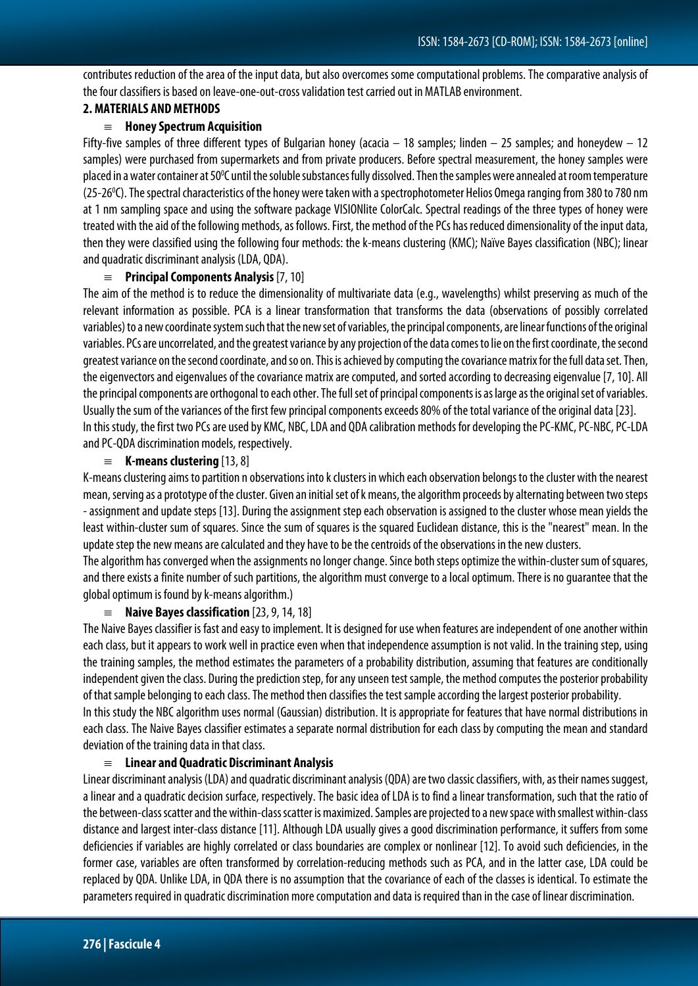contributes reduction of the area of the input data, but also overcomes some computational problems. The comparative analysis of the four classifiers is based on leave-one-out-cross validation test carried out in MATLAB environment.

## **2. MATERIALS AND METHODS**

#### ≡ **Honey Spectrum Acquisition**

Fifty-five samples of three different types of Bulgarian honey (acacia  $-$  18 samples; linden  $-$  25 samples; and honeydew  $-$  12 samples) were purchased from supermarkets and from private producers. Before spectral measurement, the honey samples were placed in a water container at 50°C until the soluble substances fully dissolved. Then the samples were annealed at room temperature (25-26<sup>o</sup>C). The spectral characteristics of the honey were taken with a spectrophotometer Helios Omega ranging from 380 to 780 nm at 1 nm sampling space and using the software package VISIONlite ColorCalc. Spectral readings of the three types of honey were treated with the aid of the following methods, as follows. First, the method of the PCs has reduced dimensionality of the input data, then they were classified using the following four methods: the k-means clustering (KMC); Naïve Bayes classification (NBC); linear and quadratic discriminant analysis (LDA, QDA).

#### ≡ **Principal Components Analysis**[7, 10]

The aim of the method is to reduce the dimensionality of multivariate data (e.g., wavelengths) whilst preserving as much of the relevant information as possible. PCA is a linear transformation that transforms the data (observations of possibly correlated variables) to a new coordinate system such that the new set of variables, the principal components, are linear functions of the original variables. PCs are uncorrelated, and the greatest variance by any projection of the data comes to lie on the first coordinate, the second greatest variance on the second coordinate, and so on. This is achieved by computing the covariance matrix for the full data set. Then, the eigenvectors and eigenvalues of the covariance matrix are computed, and sorted according to decreasing eigenvalue [7, 10]. All the principal components are orthogonal to each other. The full set of principal components is as large as the original set of variables. Usually the sum of the variances of the first few principal components exceeds 80% of the total variance of the original data [23]. In this study, the first two PCs are used by KMC, NBC, LDA and QDA calibration methods for developing the PC-KMC, PC-NBC, PC-LDA and PC-QDA discrimination models, respectively.

#### ≡ **K-means clustering** [13,8]

K-means clustering aims to partition n observations into kclusters in which each observation belongs to the cluster with the nearest mean, serving as a prototype of the cluster. Given an initial set of kmeans, the algorithm proceeds by alternating between two steps - assignment and update steps [13]. During the assignment step each observation is assigned to the cluster whose mean yields the least within-cluster sum of squares. Since the sum of squares is the squared Euclidean distance, this is the "nearest" mean. In the update step the new means are calculated and they have to be the centroids of the observations in the new clusters.

The algorithm has converged when the assignments no longer change. Since both steps optimize the within-cluster sum of squares, and there exists a finite number of such partitions, the algorithm must converge to a local optimum. There is no guarantee that the global optimum is found by k-means algorithm.)

#### ≡ **Naive Bayes classification** [23,9,14,18]

The Naive Bayes classifier is fast and easy to implement. It is designed for use when features are independent of one another within each class, but it appears to work well in practice even when that independence assumption is not valid. In the training step, using the training samples, the method estimates the parameters of a probability distribution, assuming that features are conditionally independent given the class. During the prediction step, for any unseen test sample, the method computes the posterior probability of that sample belonging to each class. The method then classifies the test sample according the largest posterior probability. In this study the NBC algorithm uses normal (Gaussian) distribution. It is appropriate for features that have normal distributions in each class. The Naive Bayes classifier estimates a separate normal distribution for each class by computing the mean and standard deviation of the training data in that class.

## ≡ **Linear and Quadratic Discriminant Analysis**

Linear discriminant analysis (LDA) and quadratic discriminant analysis (QDA) are two classic classifiers, with, as their names suggest, a linear and a quadratic decision surface, respectively. The basic idea of LDA is to find a linear transformation, such that the ratio of the between-class scatter and the within-class scatter is maximized. Samples are projected to a new space with smallest within-class distance and largest inter-class distance [11]. Although LDA usually gives a good discrimination performance, it suffers from some deficiencies if variables are highly correlated or class boundaries are complex or nonlinear [12]. To avoid such deficiencies, in the former case, variables are often transformed by correlation-reducing methods such as PCA, and in the latter case, LDA could be replaced by QDA. Unlike LDA, in QDA there is no assumption that the covariance of each of the classes is identical. To estimate the parameters required in quadratic discrimination more computation and data is required than in the case of linear discrimination.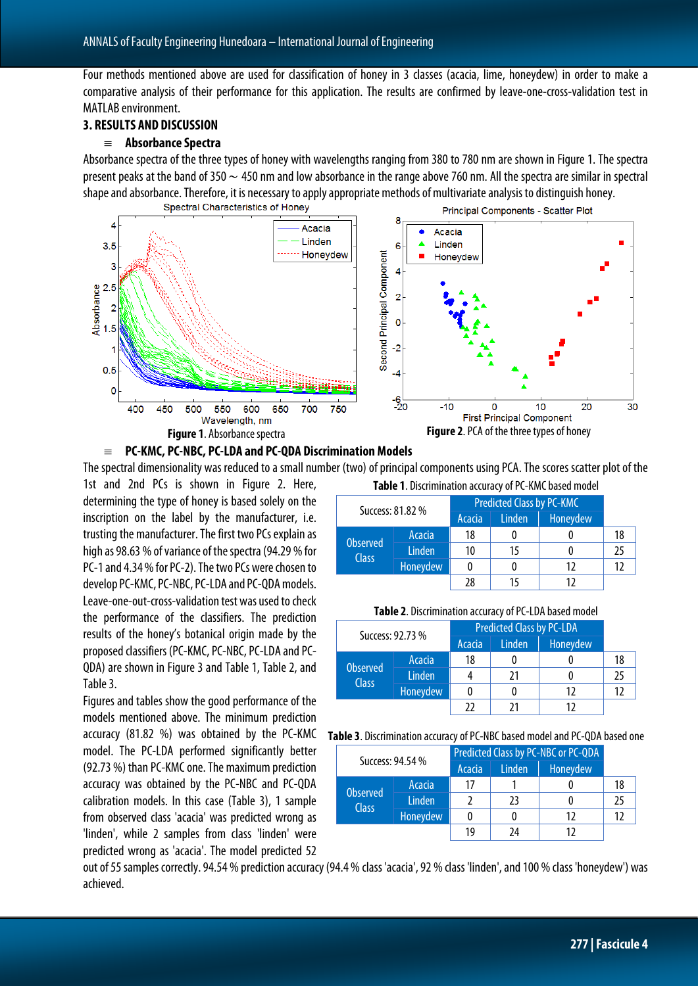Four methods mentioned above are used for classification of honey in 3 classes (acacia, lime, honeydew) in order to make a comparative analysis of their performance for this application. The results are confirmed by leave-one-cross-validation test in MATLAB environment.

## **3. RESULTS AND DISCUSSION**

#### ≡ **Absorbance Spectra**

Absorbance spectra of the three types of honey with wavelengths ranging from 380 to 780 nm are shown in Figure 1. The spectra present peaks at the band of 350  $\sim$  450 nm and low absorbance in the range above 760 nm. All the spectra are similar in spectral shape and absorbance. Therefore, it is necessary to apply appropriate methods of multivariate analysis to distinguish honey.





The spectral dimensionality was reduced to a small number (two) of principal components using PCA. The scores scatter plot of the

1st and 2nd PCs is shown in Figure 2. Here, determining the type of honey is based solely on the inscription on the label by the manufacturer, i.e. trusting the manufacturer.The first two PCs explain as high as 98.63% of variance of the spectra (94.29% for PC-1 and 4.34% for PC-2). The two PCs were chosen to develop PC-KMC, PC-NBC, PC-LDA and PC-QDA models. Leave-one-out-cross-validation test was used to check the performance of the classifiers. The prediction results of the honey's botanical origin made by the proposed classifiers (PC-KMC, PC-NBC, PC-LDA and PC-QDA) are shown in Figure 3 and Table 1, Table 2, and Table 3.

Figures and tables show the good performance of the models mentioned above. The minimum prediction accuracy (81.82 %) was obtained by the PC-KMC model. The PC-LDA performed significantly better (92.73%) than PC-KMC one. The maximum prediction accuracy was obtained by the PC-NBC and PC-QDA calibration models. In this case (Table 3), 1 sample from observed class 'acacia' was predicted wrong as 'linden', while 2 samples from class 'linden' were predicted wrong as 'acacia'. The model predicted 52 **Table 1**. Discrimination accuracy of PC-KMC based model

| Success: 81.82 %         |               | <b>Predicted Class by PC-KMC</b> |               |          |    |
|--------------------------|---------------|----------------------------------|---------------|----------|----|
|                          |               | Acacia                           | <b>Linden</b> | Honeydew |    |
| <b>Observed</b><br>Class | Acacia        | 18                               |               |          | 18 |
|                          | <b>Linden</b> |                                  | 15            |          |    |
|                          | Honeydew      |                                  |               |          |    |
|                          |               |                                  | 15            |          |    |

| Success: 92.73 %         |                 | <b>Predicted Class by PC-LDA</b> |               |          |    |
|--------------------------|-----------------|----------------------------------|---------------|----------|----|
|                          |                 | Acacia                           | <b>Linden</b> | Honeydew |    |
| <b>Observed</b><br>Class | Acacia          | 18                               |               |          | 18 |
|                          | <b>Linden</b>   |                                  | 21            |          |    |
|                          | <b>Honeydew</b> |                                  |               | 17       |    |
|                          |                 |                                  |               |          |    |

**Table 3**. Discrimination accuracy of PC-NBC based model and PC-QDA based one

| Success: 94.54 %         |          | Predicted Class by PC-NBC or PC-QDA |               |          |    |
|--------------------------|----------|-------------------------------------|---------------|----------|----|
|                          |          | Acacia                              | <b>Linden</b> | Honeydew |    |
| <b>Observed</b><br>Class | Acacia   | 17                                  |               |          | 18 |
|                          | Linden   |                                     | 23            |          | 25 |
|                          | Honeydew |                                     |               | 12       |    |
|                          |          | 19                                  | 74            | 17       |    |

out of 55 samples correctly. 94.54 % prediction accuracy (94.4% class 'acacia', 92% class 'linden', and 100% class 'honeydew') was achieved.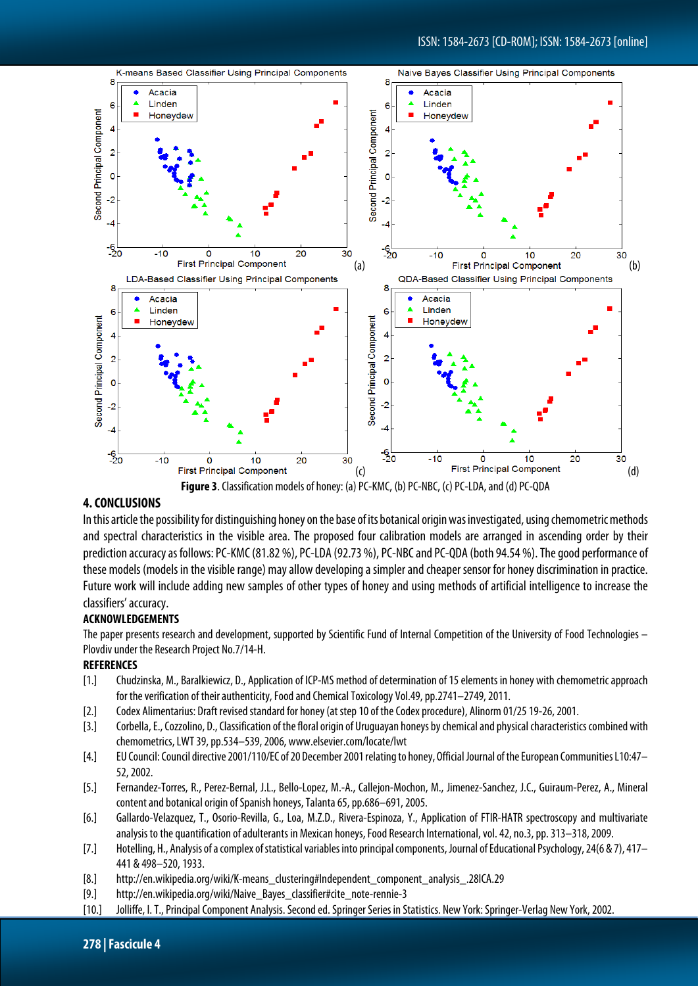

#### **4. CONCLUSIONS**

In this article the possibility for distinguishing honey on the base of its botanical origin was investigated, using chemometric methods and spectral characteristics in the visible area. The proposed four calibration models are arranged in ascending order by their prediction accuracy as follows: PC-KMC (81.82%), PC-LDA (92.73%), PC-NBC and PC-QDA (both 94.54%). The good performance of these models (models in the visible range) may allow developing a simpler and cheaper sensor for honey discrimination in practice. Future work will include adding new samples of other types of honey and using methods of artificial intelligence to increase the classifiers' accuracy.

#### **ACKNOWLEDGEMENTS**

The paper presents research and development, supported by Scientific Fund of Internal Competition of the University of Food Technologies – Plovdiv under the Research Project No.7/14-H.

#### **REFERENCES**

- [1.] Chudzinska, M., Baralkiewicz, D., Application of ICP-MS method of determination of 15 elements in honey with chemometric approach for the verification of their authenticity, Food and Chemical Toxicology Vol.49, pp.2741–2749, 2011.
- [2.] Codex Alimentarius: Draft revised standard for honey (at step 10 of the Codex procedure), Alinorm 01/25 19-26, 2001.
- [3.] Corbella, E., Cozzolino, D., Classification of the floral origin of Uruguayan honeys by chemical and physical characteristics combined with chemometrics, LWT 39, pp.534–539, 2006, www.elsevier.com/locate/lwt
- [4.] EU Council: Council directive 2001/110/EC of 20 December 2001 relating to honey, OfficialJournal of the European Communities L10:47– 52, 2002.
- [5.] Fernandez-Torres, R., Perez-Bernal, J.L., Bello-Lopez, M.-A., Callejon-Mochon, M., Jimenez-Sanchez, J.C., Guiraum-Perez, A., Mineral content and botanical origin of Spanish honeys, Talanta 65, pp.686–691, 2005.
- [6.] Gallardo-Velazquez, T., Osorio-Revilla, G., Loa, M.Z.D., Rivera-Espinoza, Y., Application of FTIR-HATR spectroscopy and multivariate analysis to the quantification of adulterants in Mexican honeys, Food Research International, vol. 42, no.3, pp. 313–318, 2009.
- [7.] Hotelling, H., Analysis of a complex of statistical variables into principal components, Journal of Educational Psychology, 24(6 & 7), 417– 441 & 498–520, 1933.
- [8.] http://en.wikipedia.org/wiki/K-means\_clustering#Independent\_component\_analysis\_.28ICA.29
- [9.] http://en.wikipedia.org/wiki/Naive\_Bayes\_classifier#cite\_note-rennie-3
- [10.] Jolliffe, I. T., Principal Component Analysis. Second ed. Springer Series in Statistics. New York: Springer-Verlag New York, 2002.